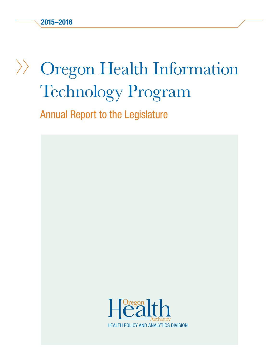# Oregon Health Information Technology Program

Annual Report to the Legislature

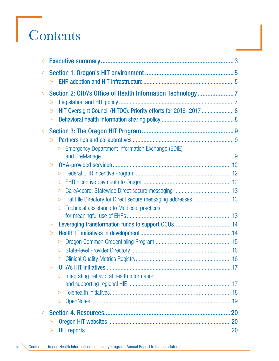# **Contents**

| $\gg$                        |                    |                                                                  |  |
|------------------------------|--------------------|------------------------------------------------------------------|--|
| $\gg$                        |                    |                                                                  |  |
|                              | $\rangle$          |                                                                  |  |
| $\gg$                        |                    |                                                                  |  |
|                              | $\gg$              |                                                                  |  |
|                              | $\rangle$          | HIT Oversight Council (HITOC): Priority efforts for 2016-2017  8 |  |
|                              | $\rangle\!\rangle$ |                                                                  |  |
| $\left\langle \right\rangle$ |                    |                                                                  |  |
|                              | $\gg$              |                                                                  |  |
|                              |                    | <b>Emergency Department Information Exchange (EDIE)</b><br>$\gg$ |  |
|                              |                    |                                                                  |  |
|                              | $\gg$              |                                                                  |  |
|                              |                    | $\gg$                                                            |  |
|                              |                    | $\gg$                                                            |  |
|                              |                    | $\gg$                                                            |  |
|                              |                    | $\rangle$                                                        |  |
|                              |                    | Technical assistance to Medicaid practices<br>$\gg$              |  |
|                              |                    |                                                                  |  |
|                              | $\rangle$          |                                                                  |  |
|                              | $\gg$              |                                                                  |  |
|                              |                    | $\rangle$<br>$\rangle$                                           |  |
|                              |                    |                                                                  |  |
|                              | $\gg$              |                                                                  |  |
|                              |                    | Integrating behavioral health information<br>$\gg$               |  |
|                              |                    |                                                                  |  |
|                              |                    | $\gg$                                                            |  |
|                              |                    | $\gg$                                                            |  |
| $\gg$                        |                    |                                                                  |  |
|                              | $\gg$              |                                                                  |  |
|                              | $\gg$              |                                                                  |  |
|                              |                    |                                                                  |  |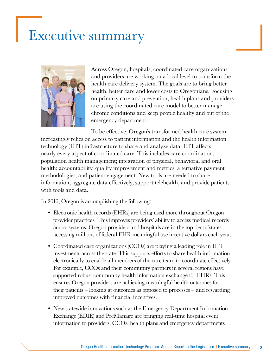## <span id="page-2-0"></span>Executive summary



Across Oregon, hospitals, coordinated care organizations and providers are working on a local level to transform the health care delivery system. The goals are to bring better health, better care and lower costs to Oregonians. Focusing on primary care and prevention, health plans and providers are using the coordinated care model to better manage chronic conditions and keep people healthy and out of the emergency department.

To be effective, Oregon's transformed health care system increasingly relies on access to patient information and the health information technology (HIT) infrastructure to share and analyze data. HIT affects nearly every aspect of coordinated care. This includes care coordination; population health management; integration of physical, behavioral and oral health; accountability, quality improvement and metrics; alternative payment methodologies; and patient engagement. New tools are needed to share information, aggregate data effectively, support telehealth, and provide patients with tools and data.

In 2016, Oregon is accomplishing the following:

- Electronic health records (EHRs) are being used more throughout Oregon provider practices. This improves providers' ability to access medical records across systems. Oregon providers and hospitals are in the top tier of states accessing millions of federal EHR meaningful use incentive dollars each year.
- Coordinated care organizations (CCOs) are playing a leading role in HIT investments across the state. This supports efforts to share health information electronically to enable all members of the care team to coordinate effectively. For example, CCOs and their community partners in several regions have supported robust community health information exchange for EHRs. This ensures Oregon providers are achieving meaningful health outcomes for their patients – looking at outcomes as opposed to processes – and rewarding improved outcomes with financial incentives.
- New statewide innovations such as the Emergency Department Information Exchange (EDIE) and PreManage are bringing real-time hospital event information to providers, CCOs, health plans and emergency departments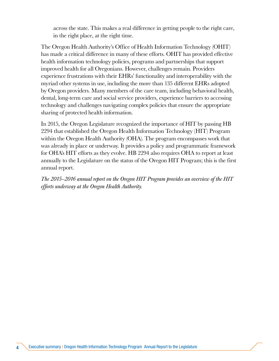across the state. This makes a real difference in getting people to the right care, in the right place, at the right time.

The Oregon Health Authority's Office of Health Information Technology (OHIT) has made a critical difference in many of these efforts. OHIT has provided effective health information technology policies, programs and partnerships that support improved health for all Oregonians. However, challenges remain. Providers experience frustrations with their EHRs' functionality and interoperability with the myriad other systems in use, including the more than 135 different EHRs adopted by Oregon providers. Many members of the care team, including behavioral health, dental, long-term care and social service providers, experience barriers to accessing technology and challenges navigating complex policies that ensure the appropriate sharing of protected health information.

In 2015, the Oregon Legislature recognized the importance of HIT by passing HB 2294 that established the Oregon Health Information Technology (HIT) Program within the Oregon Health Authority (OHA). The program encompasses work that was already in place or underway. It provides a policy and programmatic framework for OHA's HIT efforts as they evolve. HB 2294 also requires OHA to report at least annually to the Legislature on the status of the Oregon HIT Program; this is the first annual report.

*The 2015–2016 annual report on the Oregon HIT Program provides an overview of the HIT efforts underway at the Oregon Health Authority.*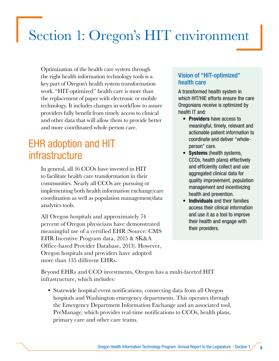## <span id="page-4-0"></span>Section 1: Oregon's HIT environment

Optimization of the health care system through the right health information technology tools is a key part of Oregon's health system transformation work. "HIT-optimized" health care is more than the replacement of paper with electronic or mobile technology. It includes changes in workflow to assure providers fully benefit from timely access to clinical and other data that will allow them to provide better and more coordinated whole-person care.

## EHR adoption and HIT infrastructure

In general, all 16 CCOs have invested in HIT to facilitate health care transformation in their communities. Nearly all CCOs are pursuing or implementing both health information exchange/care coordination as well as population management/data analytics tools.

All Oregon hospitals and approximately 74 percent of Oregon physicians have demonstrated meaningful use of a certified EHR (Source: CMS EHR Incentive Program data, 2015 & SK&A Office-based Provider Database, 2013). However, Oregon hospitals and providers have adopted more than 135 different EHRs.

#### Vision of "HIT-optimized" health care

A transformed health system in which HIT/HIE efforts ensure the care Oregonians receive is optimized by health IT and:

- Providers have access to meaningful, timely, relevant and actionable patient information to coordinate and deliver "wholeperson" care.
- Systems (health systems, CCOs, health plans) effectively and efficiently collect and use aggregated clinical data for quality improvement, population management and incentivizing health and prevention.
- Individuals and their families access their clinical information and use it as a tool to improve their health and engage with their providers.

Beyond EHRs and CCO investments, Oregon has a multi-faceted HIT infrastructure, which includes:

• Statewide hospital event notifications, connecting data from all Oregon hospitals and Washington emergency departments. This operates through the Emergency Department Information Exchange and an associated tool, PreManage, which provides real-time notifications to CCOs, health plans, primary care and other care teams.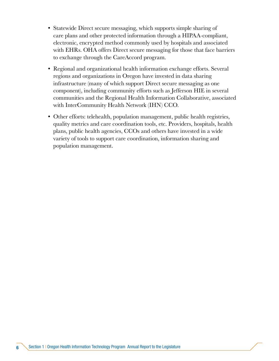- Statewide Direct secure messaging, which supports simple sharing of care plans and other protected information through a HIPAA-compliant, electronic, encrypted method commonly used by hospitals and associated with EHRs. OHA offers Direct secure messaging for those that face barriers to exchange through the CareAccord program.
- Regional and organizational health information exchange efforts. Several regions and organizations in Oregon have invested in data sharing infrastructure (many of which support Direct secure messaging as one component), including community efforts such as Jefferson HIE in several communities and the Regional Health Information Collaborative, associated with InterCommunity Health Network (IHN) CCO.
- Other efforts: telehealth, population management, public health registries, quality metrics and care coordination tools, etc. Providers, hospitals, health plans, public health agencies, CCOs and others have invested in a wide variety of tools to support care coordination, information sharing and population management.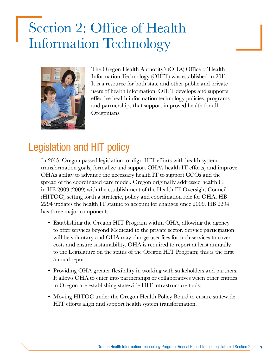## <span id="page-6-0"></span>Section 2: Office of Health Information Technology



The Oregon Health Authority's (OHA) Office of Health Information Technology (OHIT) was established in 2011. It is a resource for both state and other public and private users of health information. OHIT develops and supports effective health information technology policies, programs and partnerships that support improved health for all Oregonians.

## Legislation and HIT policy

In 2015, Oregon passed legislation to align HIT efforts with health system transformation goals, formalize and support OHA's health IT efforts, and improve OHA's ability to advance the necessary health IT to support CCOs and the spread of the coordinated care model. Oregon originally addressed health IT in HB 2009 (2009) with the establishment of the Health IT Oversight Council (HITOC), setting forth a strategic, policy and coordination role for OHA. HB 2294 updates the health IT statute to account for changes since 2009. HB 2294 has three major components:

- Establishing the Oregon HIT Program within OHA, allowing the agency to offer services beyond Medicaid to the private sector. Service participation will be voluntary and OHA may charge user fees for such services to cover costs and ensure sustainability. OHA is required to report at least annually to the Legislature on the status of the Oregon HIT Program; this is the first annual report.
- Providing OHA greater flexibility in working with stakeholders and partners. It allows OHA to enter into partnerships or collaboratives when other entities in Oregon are establishing statewide HIT infrastructure tools.
- Moving HITOC under the Oregon Health Policy Board to ensure statewide HIT efforts align and support health system transformation.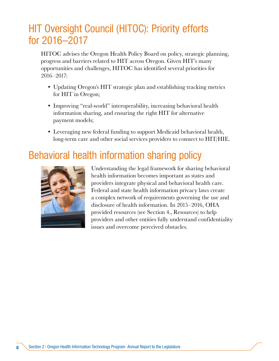## HIT Oversight Council (HITOC): Priority efforts for 2016–2017

HITOC advises the Oregon Health Policy Board on policy, strategic planning, progress and barriers related to HIT across Oregon. Given HIT's many opportunities and challenges, HITOC has identified several priorities for 2016–2017:

- Updating Oregon's HIT strategic plan and establishing tracking metrics for HIT in Oregon;
- Improving "real-world" interoperability, increasing behavioral health information sharing, and ensuring the right HIT for alternative payment models;
- Leveraging new federal funding to support Medicaid behavioral health, long-term care and other social services providers to connect to HIT/HIE.

## Behavioral health information sharing policy



Understanding the legal framework for sharing behavioral health information becomes important as states and providers integrate physical and behavioral health care. Federal and state health information privacy laws create a complex network of requirements governing the use and disclosure of health information. In 2015–2016, OHA provided resources (see Section 4., Resources) to help providers and other entities fully understand confidentiality issues and overcome perceived obstacles.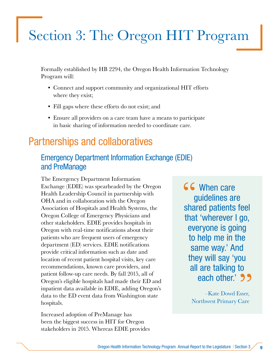## Section 3 : The Oregon HIT Program

Formally established by HB 2294, the Oregon Health Information Technology Program will:

- Connect and support community and organizational HIT efforts where they exist;
- Fill gaps where these efforts do not exist; and
- Ensure all providers on a care team have a means to participate in basic sharing of information needed to coordinate care.

## Partnerships and collaboratives

## Emergency Department Information Exchange (EDIE) and PreManage

The Emergency Department Information Exchange (EDIE) was spearheaded by the Oregon Health Leadership Council in partnership with OHA and in collaboration with the Oregon Association of Hospitals and Health Systems, the Oregon College of Emergency Physicians and other stakeholders. EDIE provides hospitals in Oregon with real-time notifications about their patients who are frequent users of emergency department (ED) services. EDIE notifications provide critical information such as date and location of recent patient hospital visits, key care recommendations, known care providers, and patient follow-up care needs. By fall 2015, all of Oregon's eligible hospitals had made their ED and inpatient data available in EDIE, adding Oregon's data to the ED event data from Washington state hospitals.

Increased adoption of PreManage has been the biggest success in HIT for Oregon stakeholders in 2015. Whereas EDIE provides **66** When care<br>guidelines and<br>shared patients guidelines are shared patients feel that 'wherever I go, everyone is going to help me in the same way.' And they will say 'you all are talking to are talking to<br>each other.' **35** 

> –Kate Dowd Esser, Northwest Primary Care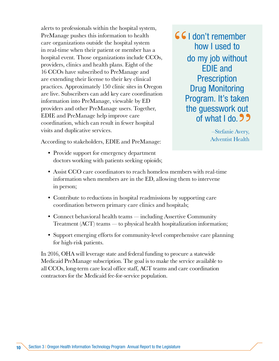alerts to professionals within the hospital system, PreManage pushes this information to health care organizations outside the hospital system in real-time when their patient or member has a hospital event. Those organizations include CCOs, providers, clinics and health plans. Eight of the 16 CCOs have subscribed to PreManage and are extending their license to their key clinical practices. Approximately 150 clinic sites in Oregon are live. Subscribers can add key care coordination information into PreManage, viewable by ED providers and other PreManage users. Together, EDIE and PreManage help improve care coordination, which can result in fewer hospital visits and duplicative services.

**661** don't remember<br>how I used to how I used to do my job without EDIE and **Prescription** Drug Monitoring Program. It's taken the guesswork out guesswork out<br>of what I do. 22

> –Stefanie Avery, Adventist Health

According to stakeholders, EDIE and PreManage:

- Provide support for emergency department doctors working with patients seeking opioids;
- Assist CCO care coordinators to reach homeless members with real-time information when members are in the ED, allowing them to intervene in person;
- Contribute to reductions in hospital readmissions by supporting care coordination between primary care clinics and hospitals;
- Connect behavioral health teams including Assertive Community Treatment (ACT) teams — to physical health hospitalization information;
- Support emerging efforts for community-level comprehensive care planning for high-risk patients.

In 2016, OHA will leverage state and federal funding to procure a statewide Medicaid PreManage subscription. The goal is to make the service available to all CCOs, long-term care local office staff, ACT teams and care coordination contractors for the Medicaid fee-for-service population.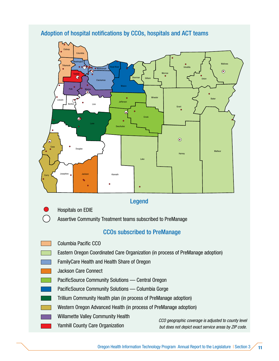#### Adoption of hospital notifications by CCOs, hospitals and ACT teams



#### CCOs subscribed to PreManage

- Columbia Pacific CCO
	- Eastern Oregon Coordinated Care Organization (in process of PreManage adoption)
- FamilyCare Health and Health Share of Oregon
- Jackson Care Connect
- PacificSource Community Solutions Central Oregon
- PacificSource Community Solutions Columbia Gorge
- Trillium Community Health plan (in process of PreManage adoption)
- Western Oregon Advanced Health (in process of PreManage adoption)
- Willamette Valley Community Health
	- Yamhill County Care Organization

*CCO geographic coverage is adjusted to county level but does not depict exact service areas by ZIP code.*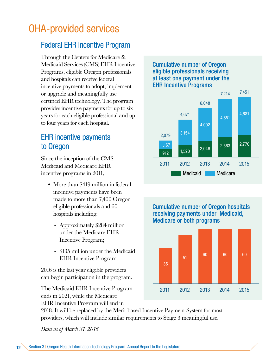## OHA-provided services

## Federal EHR Incentive Program

Through the Centers for Medicare & Medicaid Services (CMS) EHR Incentive Programs, eligible Oregon professionals and hospitals can receive federal incentive payments to adopt, implement or upgrade and meaningfully use certified EHR technology. The program provides incentive payments for up to six years for each eligible professional and up to four years for each hospital.

## EHR incentive payments to Oregon

Since the inception of the CMS Medicaid and Medicare EHR incentive programs in 2011,

- More than \$419 million in federal incentive payments have been made to more than 7,400 Oregon eligible professionals and 60 hospitals including:
	- » Approximately \$284 million under the Medicare EHR Incentive Program;
	- » \$135 million under the Medicaid EHR Incentive Program.

2016 is the last year eligible providers can begin participation in the program.

The Medicaid EHR Incentive Program ends in 2021, while the Medicare EHR Incentive Program will end in

#### Cumulative number of Oregon eligible professionals receiving at least one payment under the EHR Incentive Programs



Cumulative number of Oregon hospitals receiving payments under Medicaid, Medicare or both programs



2018. It will be replaced by the Merit-based Incentive Payment System for most providers, which will include similar requirements to Stage 3 meaningful use.

*Data as of March 31, 2016*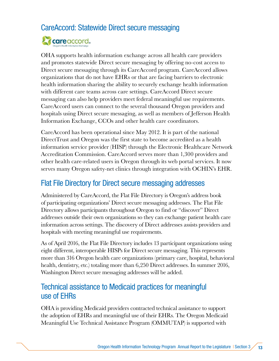## CareAccord: Statewide Direct secure messaging



OHA supports health information exchange across all health care providers and promotes statewide Direct secure messaging by offering no-cost access to Direct secure messaging through its CareAccord program. CareAccord allows organizations that do not have EHRs or that are facing barriers to electronic health information sharing the ability to securely exchange health information with different care teams across care settings. CareAccord Direct secure messaging can also help providers meet federal meaningful use requirements. CareAccord users can connect to the several thousand Oregon providers and hospitals using Direct secure messaging, as well as members of Jefferson Health Information Exchange, CCOs and other health care coordinators.

CareAccord has been operational since May 2012. It is part of the national DirectTrust and Oregon was the first state to become accredited as a health information service provider (HISP) through the Electronic Healthcare Network Accreditation Commission. CareAccord serves more than 1,300 providers and other health care-related users in Oregon through its web portal services. It now serves many Oregon safety-net clinics through integration with OCHIN's EHR.

### Flat File Directory for Direct secure messaging addresses

Administered by CareAccord, the Flat File Directory is Oregon's address book of participating organizations' Direct secure messaging addresses. The Flat File Directory allows participants throughout Oregon to find or "discover" Direct addresses outside their own organizations so they can exchange patient health care information across settings. The discovery of Direct addresses assists providers and hospitals with meeting meaningful use requirements.

As of April 2016, the Flat File Directory includes 13 participant organizations using eight different, interoperable HISPs for Direct secure messaging. This represents more than 316 Oregon health care organizations (primary care, hospital, behavioral health, dentistry, etc.) totaling more than 6,250 Direct addresses. In summer 2016, Washington Direct secure messaging addresses will be added.

### Technical assistance to Medicaid practices for meaningful use of EHRs

OHA is providing Medicaid providers contracted technical assistance to support the adoption of EHRs and meaningful use of their EHRs. The Oregon Medicaid Meaningful Use Technical Assistance Program (OMMUTAP) is supported with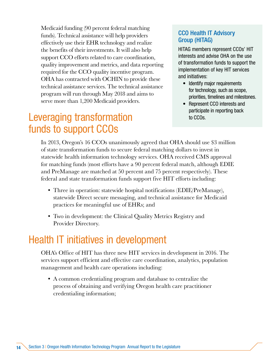Medicaid funding (90 percent federal matching funds). Technical assistance will help providers effectively use their EHR technology and realize the benefits of their investments. It will also help support CCO efforts related to care coordination, quality improvement and metrics, and data reporting required for the CCO quality incentive program. OHA has contracted with OCHIN to provide these technical assistance services. The technical assistance program will run through May 2018 and aims to serve more than 1,200 Medicaid providers.

## Leveraging transformation funds to support CCOs

#### CCO Health IT Advisory Group (HITAG)

HITAG members represent CCOs' HIT interests and advise OHA on the use of transformation funds to support the implementation of key HIT services and initiatives:

- Identify major requirements for technology, such as scope, priorities, timelines and milestones.
- Represent CCO interests and participate in reporting back to CCOs.

In 2013, Oregon's 16 CCOs unanimously agreed that OHA should use \$3 million of state transformation funds to secure federal matching dollars to invest in statewide health information technology services. OHA received CMS approval for matching funds (most efforts have a 90 percent federal match, although EDIE and PreManage are matched at 50 percent and 75 percent respectively). These federal and state transformation funds support five HIT efforts including:

- Three in operation: statewide hospital notifications (EDIE/PreManage), statewide Direct secure messaging, and technical assistance for Medicaid practices for meaningful use of EHRs; and
- Two in development: the Clinical Quality Metrics Registry and Provider Directory.

## Health IT initiatives in development

OHA's Office of HIT has three new HIT services in development in 2016. The services support efficient and effective care coordination, analytics, population management and health care operations including:

• A common credentialing program and database to centralize the process of obtaining and verifying Oregon health care practitioner credentialing information;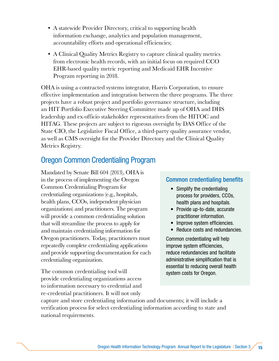- A statewide Provider Directory, critical to supporting health information exchange, analytics and population management, accountability efforts and operational efficiencies;
- A Clinical Quality Metrics Registry to capture clinical quality metrics from electronic health records, with an initial focus on required CCO EHR-based quality metric reporting and Medicaid EHR Incentive Program reporting in 2018.

OHA is using a contracted systems integrator, Harris Corporation, to ensure effective implementation and integration between the three programs. The three projects have a robust project and portfolio governance structure, including an HIT Portfolio Executive Steering Committee made up of OHA and DHS leadership and ex-officio stakeholder representatives from the HITOC and HITAG. These projects are subject to rigorous oversight by DAS Office of the State CIO, the Legislative Fiscal Office, a third-party quality assurance vendor, as well as CMS oversight for the Provider Directory and the Clinical Quality Metrics Registry.

### Oregon Common Credentialing Program

Mandated by Senate Bill 604 (2013), OHA is in the process of implementing the Oregon Common Credentialing Program for credentialing organizations (e.g., hospitals, health plans, CCOs, independent physician organizations) and practitioners. The program will provide a common credentialing solution that will streamline the process to apply for and maintain credentialing information for Oregon practitioners. Today, practitioners must repeatedly complete credentialing applications and provide supporting documentation for each credentialing organization.

The common credentialing tool will provide credentialing organizations access to information necessary to credential and re-credential practitioners. It will not only

#### Common credentialing benefits

- Simplify the credentialing process for providers, CCOs, health plans and hospitals.
- Provide up-to-date, accurate practitioner information.
- Improve system efficiencies.
- Reduce costs and redundancies.

Common credentialing will help improve system efficiencies, reduce redundancies and facilitate administrative simplification that is essential to reducing overall health system costs for Oregon.

capture and store credentialing information and documents; it will include a verification process for select credentialing information according to state and national requirements.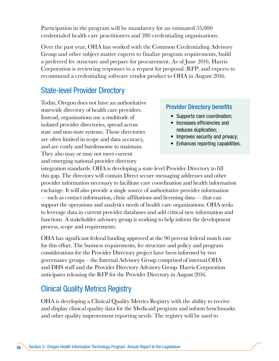Participation in the program will be mandatory for an estimated 55,000 credentialed health care practitioners and 280 credentialing organizations.

Over the past year, OHA has worked with the Common Credentialing Advisory Group and other subject matter experts to finalize program requirements, build a preferred fee structure and prepare for procurement. As of June 2016, Harris Corporation is reviewing responses to a request for proposal (RFP) and expects to recommend a credentialing software vendor product to OHA in August 2016.

## State-level Provider Directory

Today, Oregon does not have an authoritative statewide directory of health care providers. Instead, organizations use a multitude of isolated provider directories, spread across state and non-state systems. Those directories are often limited in scope and data accuracy, and are costly and burdensome to maintain. They also may or may not meet current and emerging national provider directory

#### Provider Directory benefits

- Supports care coordination;
- Increases efficiencies and reduces duplication;
- Improves security and privacy;
- Enhances reporting capabilities.

integration standards. OHA is developing a state-level Provider Directory to fill this gap. The directory will contain Direct secure messaging addresses and other provider information necessary to facilitate care coordination and health information exchange. It will also provide a single source of authoritative provider information — such as contact information, clinic affiliations and licensing data — that can support the operations and analytics needs of health care organizations. OHA seeks to leverage data in current provider databases and add critical new information and functions. A stakeholder advisory group is working to help inform the development process, scope and requirements.

OHA has significant federal funding approved at the 90 percent federal match rate for this effort. The business requirements, fee structure and policy and program considerations for the Provider Directory project have been informed by two governance groups – the Internal Advisory Group comprised of internal OHA and DHS staff and the Provider Directory Advisory Group. Harris Corporation anticipates releasing the RFP for the Provider Directory in August 2016.

### Clinical Quality Metrics Registry

OHA is developing a Clinical Quality Metrics Registry with the ability to receive and display clinical quality data for the Medicaid program and inform benchmarks and other quality improvement reporting needs. The registry will be used to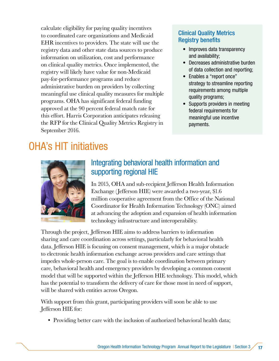calculate eligibility for paying quality incentives to coordinated care organizations and Medicaid EHR incentives to providers. The state will use the registry data and other state data sources to produce information on utilization, cost and performance on clinical quality metrics. Once implemented, the registry will likely have value for non-Medicaid pay-for-performance programs and reduce administrative burden on providers by collecting meaningful use clinical quality measures for multiple programs. OHA has significant federal funding approved at the 90 percent federal match rate for this effort. Harris Corporation anticipates releasing the RFP for the Clinical Quality Metrics Registry in September 2016.

#### Clinical Quality Metrics Registry benefits

- Improves data transparency and availability;
- Decreases administrative burden of data collection and reporting;
- Enables a "report once" strategy to streamline reporting requirements among multiple quality programs;
- Supports providers in meeting federal requirements for meaningful use incentive payments.

## OHA's HIT initiatives



## Integrating behavioral health information and supporting regional HIE

In 2015, OHA and sub-recipient Jefferson Health Information Exchange (Jefferson HIE) were awarded a two-year, \$1.6 million cooperative agreement from the Office of the National Coordinator for Health Information Technology (ONC) aimed at advancing the adoption and expansion of health information technology infrastructure and interoperability.

Through the project, Jefferson HIE aims to address barriers to information sharing and care coordination across settings, particularly for behavioral health data. Jefferson HIE is focusing on consent management, which is a major obstacle to electronic health information exchange across providers and care settings that impedes whole-person care. The goal is to enable coordination between primary care, behavioral health and emergency providers by developing a common consent model that will be supported within the Jefferson HIE technology. This model, which has the potential to transform the delivery of care for those most in need of support, will be shared with entities across Oregon.

With support from this grant, participating providers will soon be able to use Jefferson HIE for:

• Providing better care with the inclusion of authorized behavioral health data;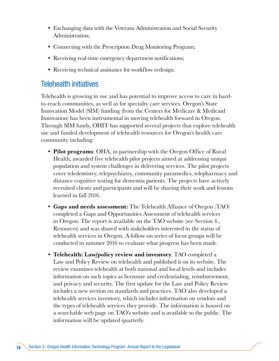- Exchanging data with the Veterans Administration and Social Security Administration;
- Connecting with the Prescription Drug Monitoring Program;
- Receiving real-time emergency department notifications;
- Receiving technical assistance for workflow redesign.

#### Telehealth initiatives

Telehealth is growing in use and has potential to improve access to care in hardto-reach communities, as well as for specialty care services. Oregon's State Innovation Model (SIM) funding (from the Centers for Medicare & Medicaid Innovation) has been instrumental in moving telehealth forward in Oregon. Through SIM funds, OHIT has supported several projects that explore telehealth use and funded development of telehealth resources for Oregon's health care community including:

- Pilot programs: OHA, in partnership with the Oregon Office of Rural Health, awarded five telehealth pilot projects aimed at addressing unique population and system challenges in delivering services. The pilot projects cover teledentistry, telepsychiatry, community paramedics, telepharmacy and distance cognitive testing for dementia patients. The projects have actively recruited clients and participants and will be sharing their work and lessons learned in fall 2016.
- Gaps and needs assessment: The Telehealth Alliance of Oregon (TAO) completed a Gaps and Opportunities Assessment of telehealth services in Oregon. The report is available on the TAO website (see Section 4., Resources) and was shared with stakeholders interested in the status of telehealth services in Oregon. A follow-on series of focus groups will be conducted in summer 2016 to evaluate what progress has been made.
- Telehealth: Law/policy review and inventory. TAO completed a Law and Policy Review on telehealth and published it on its website. The review examines telehealth at both national and local levels and includes information on such topics as licensure and credentialing, reimbursement, and privacy and security. The first update for the Law and Policy Review includes a new section on standards and practices. TAO also developed a telehealth services inventory, which includes information on vendors and the types of telehealth services they provide. The information is housed on a searchable web page on TAO's website and is available to the public. The information will be updated quarterly.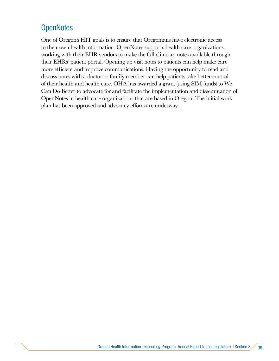## **OpenNotes**

One of Oregon's HIT goals is to ensure that Oregonians have electronic access to their own health information. OpenNotes supports health care organizations working with their EHR vendors to make the full clinician notes available through their EHRs' patient portal. Opening up visit notes to patients can help make care more efficient and improve communications. Having the opportunity to read and discuss notes with a doctor or family member can help patients take better control of their health and health care. OHA has awarded a grant (using SIM funds) to We Can Do Better to advocate for and facilitate the implementation and dissemination of OpenNotes in health care organizations that are based in Oregon. The initial work plan has been approved and advocacy efforts are underway.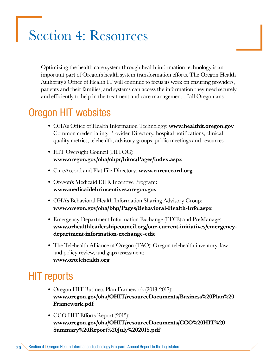## Section 4: Resources

Optimizing the health care system through health information technology is an important part of Oregon's health system transformation efforts. The Oregon Health Authority's Office of Health IT will continue to focus its work on ensuring providers, patients and their families, and systems can access the information they need securely and efficiently to help in the treatment and care management of all Oregonians.

## Oregon HIT websites

- OHA's Office of Health Information Technology: www.healthit.oregon.gov Common credentialing, Provider Directory, hospital notifications, clinical quality metrics, telehealth, advisory groups, public meetings and resources
- HIT Oversight Council (HITOC): www.oregon.gov/oha/ohpr/hitoc/Pages/index.aspx
- CareAccord and Flat File Directory: www.careaccord.org
- Oregon's Medicaid EHR Incentive Program: www.medicaidehrincentives.oregon.gov
- OHA's Behavioral Health Information Sharing Advisory Group: www.oregon.gov/oha/bhp/Pages/Behavioral-Health-Info.aspx
- Emergency Department Information Exchange (EDIE) and PreManage: [www.orhealthleadershipcouncil.org/our-current-initiatives/emergency](http://www.orhealthleadershipcouncil.org/our-current-initiatives/emergency-department-information-exchange-edie)[department-information-exchange-edie](http://www.orhealthleadershipcouncil.org/our-current-initiatives/emergency-department-information-exchange-edie)
- The Telehealth Alliance of Oregon (TAO): Oregon telehealth inventory, law and policy review, and gaps assessment: www.ortelehealth.org

## HIT reports

- Oregon HIT Business Plan Framework (2013-2017): [www.oregon.gov/oha/OHIT/resourceDocuments/Business%20Plan%20](http://www.oregon.gov/oha/OHIT/resourceDocuments/Business%20Plan%20Framework.pdf) [Framework.pdf](http://www.oregon.gov/oha/OHIT/resourceDocuments/Business%20Plan%20Framework.pdf)
- CCO HIT Efforts Report (2015): [www.oregon.gov/oha/OHIT/resourceDocuments/CCO%20HIT%20](http://www.oregon.gov/oha/OHIT/resourceDocuments/CCO%20HIT%20Summary%20Report%20July%202015.pdf) [Summary%20Report%20July%202015.pdf](http://www.oregon.gov/oha/OHIT/resourceDocuments/CCO%20HIT%20Summary%20Report%20July%202015.pdf)